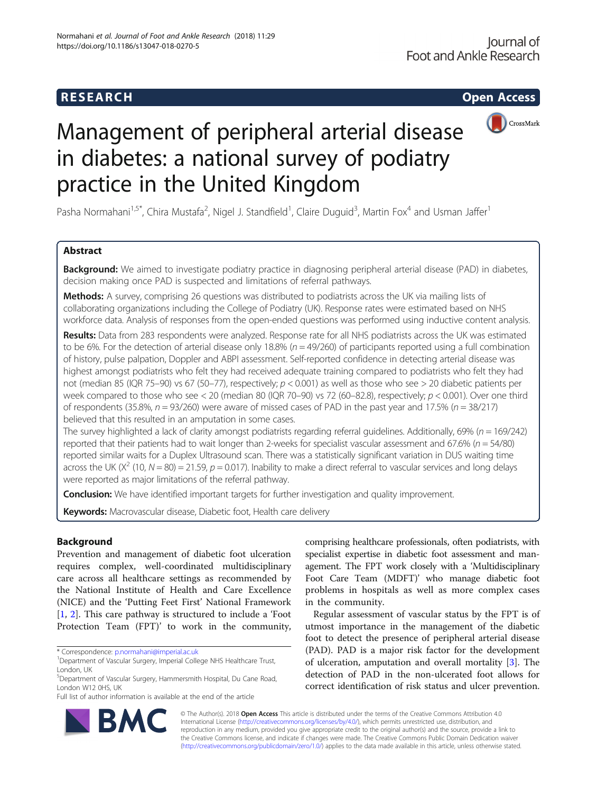# **RESEARCH RESEARCH CONSUMING ACCESS**



# Management of peripheral arterial disease in diabetes: a national survey of podiatry practice in the United Kingdom

Pasha Normahani<sup>1,5\*</sup>, Chira Mustafa<sup>2</sup>, Nigel J. Standfield<sup>1</sup>, Claire Duguid<sup>3</sup>, Martin Fox<sup>4</sup> and Usman Jaffer<sup>1</sup>

# Abstract

Background: We aimed to investigate podiatry practice in diagnosing peripheral arterial disease (PAD) in diabetes, decision making once PAD is suspected and limitations of referral pathways.

Methods: A survey, comprising 26 questions was distributed to podiatrists across the UK via mailing lists of collaborating organizations including the College of Podiatry (UK). Response rates were estimated based on NHS workforce data. Analysis of responses from the open-ended questions was performed using inductive content analysis.

Results: Data from 283 respondents were analyzed. Response rate for all NHS podiatrists across the UK was estimated to be 6%. For the detection of arterial disease only 18.8% ( $n = 49/260$ ) of participants reported using a full combination of history, pulse palpation, Doppler and ABPI assessment. Self-reported confidence in detecting arterial disease was highest amongst podiatrists who felt they had received adequate training compared to podiatrists who felt they had not (median 85 (IQR 75–90) vs 67 (50–77), respectively;  $p < 0.001$ ) as well as those who see > 20 diabetic patients per week compared to those who see < 20 (median 80 (IQR 70–90) vs 72 (60–82.8), respectively;  $p < 0.001$ ). Over one third of respondents (35.8%,  $n = 93/260$ ) were aware of missed cases of PAD in the past year and 17.5% ( $n = 38/217$ ) believed that this resulted in an amputation in some cases.

The survey highlighted a lack of clarity amongst podiatrists regarding referral guidelines. Additionally, 69% ( $n = 169/242$ ) reported that their patients had to wait longer than 2-weeks for specialist vascular assessment and 67.6% ( $n = 54/80$ ) reported similar waits for a Duplex Ultrasound scan. There was a statistically significant variation in DUS waiting time across the UK ( $X^2$  (10, N = 80) = 21.59, p = 0.017). Inability to make a direct referral to vascular services and long delays were reported as major limitations of the referral pathway.

**Conclusion:** We have identified important targets for further investigation and quality improvement.

Keywords: Macrovascular disease, Diabetic foot, Health care delivery

# Background

Prevention and management of diabetic foot ulceration requires complex, well-coordinated multidisciplinary care across all healthcare settings as recommended by the National Institute of Health and Care Excellence (NICE) and the 'Putting Feet First' National Framework [[1,](#page-10-0) [2](#page-10-0)]. This care pathway is structured to include a 'Foot Protection Team (FPT)' to work in the community,

comprising healthcare professionals, often podiatrists, with specialist expertise in diabetic foot assessment and management. The FPT work closely with a 'Multidisciplinary Foot Care Team (MDFT)' who manage diabetic foot problems in hospitals as well as more complex cases in the community.

Regular assessment of vascular status by the FPT is of utmost importance in the management of the diabetic foot to detect the presence of peripheral arterial disease (PAD). PAD is a major risk factor for the development of ulceration, amputation and overall mortality [\[3](#page-10-0)]. The detection of PAD in the non-ulcerated foot allows for correct identification of risk status and ulcer prevention.



© The Author(s). 2018 Open Access This article is distributed under the terms of the Creative Commons Attribution 4.0 International License [\(http://creativecommons.org/licenses/by/4.0/](http://creativecommons.org/licenses/by/4.0/)), which permits unrestricted use, distribution, and reproduction in any medium, provided you give appropriate credit to the original author(s) and the source, provide a link to the Creative Commons license, and indicate if changes were made. The Creative Commons Public Domain Dedication waiver [\(http://creativecommons.org/publicdomain/zero/1.0/](http://creativecommons.org/publicdomain/zero/1.0/)) applies to the data made available in this article, unless otherwise stated.

<sup>\*</sup> Correspondence: [p.normahani@imperial.ac.uk](mailto:p.normahani@imperial.ac.uk) <sup>1</sup>

<sup>&</sup>lt;sup>1</sup>Department of Vascular Surgery, Imperial College NHS Healthcare Trust, London, UK

<sup>5</sup> Department of Vascular Surgery, Hammersmith Hospital, Du Cane Road, London W12 0HS, UK

Full list of author information is available at the end of the article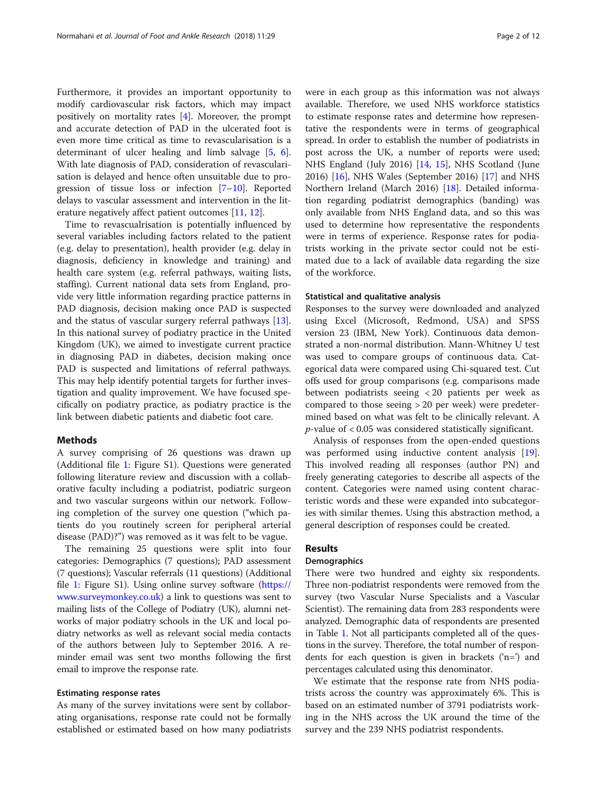Furthermore, it provides an important opportunity to modify cardiovascular risk factors, which may impact positively on mortality rates [\[4](#page-10-0)]. Moreover, the prompt and accurate detection of PAD in the ulcerated foot is even more time critical as time to revascularisation is a determinant of ulcer healing and limb salvage [[5,](#page-10-0) [6](#page-10-0)]. With late diagnosis of PAD, consideration of revascularisation is delayed and hence often unsuitable due to progression of tissue loss or infection [\[7](#page-10-0)–[10\]](#page-10-0). Reported delays to vascular assessment and intervention in the literature negatively affect patient outcomes [\[11,](#page-10-0) [12\]](#page-10-0).

Time to revascualrisation is potentially influenced by several variables including factors related to the patient (e.g. delay to presentation), health provider (e.g. delay in diagnosis, deficiency in knowledge and training) and health care system (e.g. referral pathways, waiting lists, staffing). Current national data sets from England, provide very little information regarding practice patterns in PAD diagnosis, decision making once PAD is suspected and the status of vascular surgery referral pathways [\[13](#page-10-0)]. In this national survey of podiatry practice in the United Kingdom (UK), we aimed to investigate current practice in diagnosing PAD in diabetes, decision making once PAD is suspected and limitations of referral pathways. This may help identify potential targets for further investigation and quality improvement. We have focused specifically on podiatry practice, as podiatry practice is the link between diabetic patients and diabetic foot care.

#### Methods

A survey comprising of 26 questions was drawn up (Additional file [1:](#page-9-0) Figure S1). Questions were generated following literature review and discussion with a collaborative faculty including a podiatrist, podiatric surgeon and two vascular surgeons within our network. Following completion of the survey one question ("which patients do you routinely screen for peripheral arterial disease (PAD)?") was removed as it was felt to be vague.

The remaining 25 questions were split into four categories: Demographics (7 questions); PAD assessment (7 questions); Vascular referrals (11 questions) (Additional file [1:](#page-9-0) Figure S1). Using online survey software [\(https://](https://www.surveymonkey.co.uk) [www.surveymonkey.co.uk](https://www.surveymonkey.co.uk)) a link to questions was sent to mailing lists of the College of Podiatry (UK), alumni networks of major podiatry schools in the UK and local podiatry networks as well as relevant social media contacts of the authors between July to September 2016. A reminder email was sent two months following the first email to improve the response rate.

# Estimating response rates

As many of the survey invitations were sent by collaborating organisations, response rate could not be formally established or estimated based on how many podiatrists

were in each group as this information was not always available. Therefore, we used NHS workforce statistics to estimate response rates and determine how representative the respondents were in terms of geographical spread. In order to establish the number of podiatrists in post across the UK, a number of reports were used; NHS England (July 2016) [[14](#page-10-0), [15](#page-10-0)], NHS Scotland (June 2016) [\[16\]](#page-10-0), NHS Wales (September 2016) [[17\]](#page-10-0) and NHS Northern Ireland (March 2016) [\[18](#page-10-0)]. Detailed information regarding podiatrist demographics (banding) was only available from NHS England data, and so this was used to determine how representative the respondents were in terms of experience. Response rates for podiatrists working in the private sector could not be estimated due to a lack of available data regarding the size of the workforce.

#### Statistical and qualitative analysis

Responses to the survey were downloaded and analyzed using Excel (Microsoft, Redmond, USA) and SPSS version 23 (IBM, New York). Continuous data demonstrated a non-normal distribution. Mann-Whitney U test was used to compare groups of continuous data. Categorical data were compared using Chi-squared test. Cut offs used for group comparisons (e.g. comparisons made between podiatrists seeing < 20 patients per week as compared to those seeing > 20 per week) were predetermined based on what was felt to be clinically relevant. A  $p$ -value of  $< 0.05$  was considered statistically significant.

Analysis of responses from the open-ended questions was performed using inductive content analysis [\[19](#page-10-0)]. This involved reading all responses (author PN) and freely generating categories to describe all aspects of the content. Categories were named using content characteristic words and these were expanded into subcategories with similar themes. Using this abstraction method, a general description of responses could be created.

# Results

#### **Demographics**

There were two hundred and eighty six respondents. Three non-podiatrist respondents were removed from the survey (two Vascular Nurse Specialists and a Vascular Scientist). The remaining data from 283 respondents were analyzed. Demographic data of respondents are presented in Table [1](#page-2-0). Not all participants completed all of the questions in the survey. Therefore, the total number of respondents for each question is given in brackets ('n=') and percentages calculated using this denominator.

We estimate that the response rate from NHS podiatrists across the country was approximately 6%. This is based on an estimated number of 3791 podiatrists working in the NHS across the UK around the time of the survey and the 239 NHS podiatrist respondents.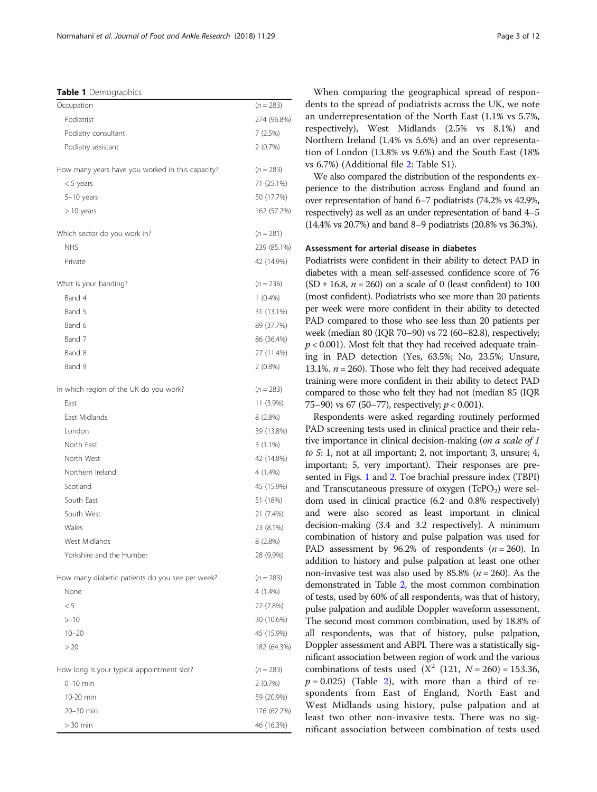#### <span id="page-2-0"></span>Table 1 Demographics

| Podiatrist<br>Podiatry consultant<br>7(2.5%)<br>Podiatry assistant<br>2(0.7%)<br>How many years have you worked in this capacity?<br>$(n = 283)$<br>71 (25.1%)<br>$<$ 5 years<br>50 (17.7%)<br>$5-10$ years<br>$>10$ years<br>Which sector do you work in?<br>$(n = 281)$<br><b>NHS</b><br>42 (14.9%)<br>Private<br>What is your banding?<br>$(n = 236)$<br>Band 4<br>$1(0.4\%)$<br>Band 5<br>31 (13.1%)<br>Band 6<br>89 (37.7%)<br>Band 7<br>86 (36.4%)<br>Band 8<br>27 (11.4%)<br>Band 9<br>$2(0.8\%)$<br>$(n = 283)$<br>In which region of the UK do you work?<br>East<br>11 (3.9%)<br>East Midlands<br>8(2.8%)<br>London<br>39 (13.8%)<br>North East<br>$3(1.1\%)$<br>North West<br>42 (14.8%)<br>Northern Ireland<br>4 (1.4%)<br>Scotland<br>45 (15.9%)<br>South East<br>51 (18%)<br>South West<br>21 (7.4%)<br>Wales<br>23 (8.1%)<br>West Midlands<br>8 (2.8%)<br>Yorkshire and the Humber<br>28 (9.9%)<br>How many diabetic patients do you see per week?<br>$(n = 283)$<br>None<br>4 (1.4%)<br>< 5<br>22 (7.8%)<br>$5 - 10$<br>30 (10.6%)<br>$10 - 20$<br>45 (15.9%)<br>> 20<br>How long is your typical appointment slot?<br>$(n = 283)$<br>$0-10$ min<br>2(0.7%)<br>10-20 min<br>59 (20.9%)<br>20-30 min | Occupation | $(n = 283)$ |
|--------------------------------------------------------------------------------------------------------------------------------------------------------------------------------------------------------------------------------------------------------------------------------------------------------------------------------------------------------------------------------------------------------------------------------------------------------------------------------------------------------------------------------------------------------------------------------------------------------------------------------------------------------------------------------------------------------------------------------------------------------------------------------------------------------------------------------------------------------------------------------------------------------------------------------------------------------------------------------------------------------------------------------------------------------------------------------------------------------------------------------------------------------------------------------------------------------------------|------------|-------------|
|                                                                                                                                                                                                                                                                                                                                                                                                                                                                                                                                                                                                                                                                                                                                                                                                                                                                                                                                                                                                                                                                                                                                                                                                                    |            | 274 (96.8%) |
|                                                                                                                                                                                                                                                                                                                                                                                                                                                                                                                                                                                                                                                                                                                                                                                                                                                                                                                                                                                                                                                                                                                                                                                                                    |            |             |
|                                                                                                                                                                                                                                                                                                                                                                                                                                                                                                                                                                                                                                                                                                                                                                                                                                                                                                                                                                                                                                                                                                                                                                                                                    |            |             |
|                                                                                                                                                                                                                                                                                                                                                                                                                                                                                                                                                                                                                                                                                                                                                                                                                                                                                                                                                                                                                                                                                                                                                                                                                    |            |             |
|                                                                                                                                                                                                                                                                                                                                                                                                                                                                                                                                                                                                                                                                                                                                                                                                                                                                                                                                                                                                                                                                                                                                                                                                                    |            |             |
|                                                                                                                                                                                                                                                                                                                                                                                                                                                                                                                                                                                                                                                                                                                                                                                                                                                                                                                                                                                                                                                                                                                                                                                                                    |            |             |
|                                                                                                                                                                                                                                                                                                                                                                                                                                                                                                                                                                                                                                                                                                                                                                                                                                                                                                                                                                                                                                                                                                                                                                                                                    |            | 162 (57.2%) |
|                                                                                                                                                                                                                                                                                                                                                                                                                                                                                                                                                                                                                                                                                                                                                                                                                                                                                                                                                                                                                                                                                                                                                                                                                    |            |             |
|                                                                                                                                                                                                                                                                                                                                                                                                                                                                                                                                                                                                                                                                                                                                                                                                                                                                                                                                                                                                                                                                                                                                                                                                                    |            | 239 (85.1%) |
|                                                                                                                                                                                                                                                                                                                                                                                                                                                                                                                                                                                                                                                                                                                                                                                                                                                                                                                                                                                                                                                                                                                                                                                                                    |            |             |
|                                                                                                                                                                                                                                                                                                                                                                                                                                                                                                                                                                                                                                                                                                                                                                                                                                                                                                                                                                                                                                                                                                                                                                                                                    |            |             |
|                                                                                                                                                                                                                                                                                                                                                                                                                                                                                                                                                                                                                                                                                                                                                                                                                                                                                                                                                                                                                                                                                                                                                                                                                    |            |             |
|                                                                                                                                                                                                                                                                                                                                                                                                                                                                                                                                                                                                                                                                                                                                                                                                                                                                                                                                                                                                                                                                                                                                                                                                                    |            |             |
|                                                                                                                                                                                                                                                                                                                                                                                                                                                                                                                                                                                                                                                                                                                                                                                                                                                                                                                                                                                                                                                                                                                                                                                                                    |            |             |
|                                                                                                                                                                                                                                                                                                                                                                                                                                                                                                                                                                                                                                                                                                                                                                                                                                                                                                                                                                                                                                                                                                                                                                                                                    |            |             |
|                                                                                                                                                                                                                                                                                                                                                                                                                                                                                                                                                                                                                                                                                                                                                                                                                                                                                                                                                                                                                                                                                                                                                                                                                    |            |             |
|                                                                                                                                                                                                                                                                                                                                                                                                                                                                                                                                                                                                                                                                                                                                                                                                                                                                                                                                                                                                                                                                                                                                                                                                                    |            |             |
|                                                                                                                                                                                                                                                                                                                                                                                                                                                                                                                                                                                                                                                                                                                                                                                                                                                                                                                                                                                                                                                                                                                                                                                                                    |            |             |
|                                                                                                                                                                                                                                                                                                                                                                                                                                                                                                                                                                                                                                                                                                                                                                                                                                                                                                                                                                                                                                                                                                                                                                                                                    |            |             |
|                                                                                                                                                                                                                                                                                                                                                                                                                                                                                                                                                                                                                                                                                                                                                                                                                                                                                                                                                                                                                                                                                                                                                                                                                    |            |             |
|                                                                                                                                                                                                                                                                                                                                                                                                                                                                                                                                                                                                                                                                                                                                                                                                                                                                                                                                                                                                                                                                                                                                                                                                                    |            |             |
|                                                                                                                                                                                                                                                                                                                                                                                                                                                                                                                                                                                                                                                                                                                                                                                                                                                                                                                                                                                                                                                                                                                                                                                                                    |            |             |
|                                                                                                                                                                                                                                                                                                                                                                                                                                                                                                                                                                                                                                                                                                                                                                                                                                                                                                                                                                                                                                                                                                                                                                                                                    |            |             |
|                                                                                                                                                                                                                                                                                                                                                                                                                                                                                                                                                                                                                                                                                                                                                                                                                                                                                                                                                                                                                                                                                                                                                                                                                    |            |             |
|                                                                                                                                                                                                                                                                                                                                                                                                                                                                                                                                                                                                                                                                                                                                                                                                                                                                                                                                                                                                                                                                                                                                                                                                                    |            |             |
|                                                                                                                                                                                                                                                                                                                                                                                                                                                                                                                                                                                                                                                                                                                                                                                                                                                                                                                                                                                                                                                                                                                                                                                                                    |            |             |
|                                                                                                                                                                                                                                                                                                                                                                                                                                                                                                                                                                                                                                                                                                                                                                                                                                                                                                                                                                                                                                                                                                                                                                                                                    |            |             |
|                                                                                                                                                                                                                                                                                                                                                                                                                                                                                                                                                                                                                                                                                                                                                                                                                                                                                                                                                                                                                                                                                                                                                                                                                    |            |             |
|                                                                                                                                                                                                                                                                                                                                                                                                                                                                                                                                                                                                                                                                                                                                                                                                                                                                                                                                                                                                                                                                                                                                                                                                                    |            |             |
|                                                                                                                                                                                                                                                                                                                                                                                                                                                                                                                                                                                                                                                                                                                                                                                                                                                                                                                                                                                                                                                                                                                                                                                                                    |            |             |
|                                                                                                                                                                                                                                                                                                                                                                                                                                                                                                                                                                                                                                                                                                                                                                                                                                                                                                                                                                                                                                                                                                                                                                                                                    |            |             |
|                                                                                                                                                                                                                                                                                                                                                                                                                                                                                                                                                                                                                                                                                                                                                                                                                                                                                                                                                                                                                                                                                                                                                                                                                    |            |             |
|                                                                                                                                                                                                                                                                                                                                                                                                                                                                                                                                                                                                                                                                                                                                                                                                                                                                                                                                                                                                                                                                                                                                                                                                                    |            |             |
|                                                                                                                                                                                                                                                                                                                                                                                                                                                                                                                                                                                                                                                                                                                                                                                                                                                                                                                                                                                                                                                                                                                                                                                                                    |            |             |
|                                                                                                                                                                                                                                                                                                                                                                                                                                                                                                                                                                                                                                                                                                                                                                                                                                                                                                                                                                                                                                                                                                                                                                                                                    |            |             |
|                                                                                                                                                                                                                                                                                                                                                                                                                                                                                                                                                                                                                                                                                                                                                                                                                                                                                                                                                                                                                                                                                                                                                                                                                    |            | 182 (64.3%) |
|                                                                                                                                                                                                                                                                                                                                                                                                                                                                                                                                                                                                                                                                                                                                                                                                                                                                                                                                                                                                                                                                                                                                                                                                                    |            |             |
|                                                                                                                                                                                                                                                                                                                                                                                                                                                                                                                                                                                                                                                                                                                                                                                                                                                                                                                                                                                                                                                                                                                                                                                                                    |            |             |
|                                                                                                                                                                                                                                                                                                                                                                                                                                                                                                                                                                                                                                                                                                                                                                                                                                                                                                                                                                                                                                                                                                                                                                                                                    |            |             |
|                                                                                                                                                                                                                                                                                                                                                                                                                                                                                                                                                                                                                                                                                                                                                                                                                                                                                                                                                                                                                                                                                                                                                                                                                    |            | 176 (62.2%) |
|                                                                                                                                                                                                                                                                                                                                                                                                                                                                                                                                                                                                                                                                                                                                                                                                                                                                                                                                                                                                                                                                                                                                                                                                                    | $>$ 30 min | 46 (16.3%)  |

When comparing the geographical spread of respondents to the spread of podiatrists across the UK, we note an underrepresentation of the North East (1.1% vs 5.7%, respectively), West Midlands (2.5% vs 8.1%) and Northern Ireland (1.4% vs 5.6%) and an over representation of London (13.8% vs 9.6%) and the South East (18% vs 6.7%) (Additional file [2](#page-9-0): Table S1).

We also compared the distribution of the respondents experience to the distribution across England and found an over representation of band 6–7 podiatrists (74.2% vs 42.9%, respectively) as well as an under representation of band 4–5 (14.4% vs 20.7%) and band 8–9 podiatrists (20.8% vs 36.3%).

# Assessment for arterial disease in diabetes

Podiatrists were confident in their ability to detect PAD in diabetes with a mean self-assessed confidence score of 76  $(SD \pm 16.8, n = 260)$  on a scale of 0 (least confident) to 100 (most confident). Podiatrists who see more than 20 patients per week were more confident in their ability to detected PAD compared to those who see less than 20 patients per week (median 80 (IQR 70–90) vs 72 (60–82.8), respectively;  $p < 0.001$ ). Most felt that they had received adequate training in PAD detection (Yes, 63.5%; No, 23.5%; Unsure, 13.1%.  $n = 260$ ). Those who felt they had received adequate training were more confident in their ability to detect PAD compared to those who felt they had not (median 85 (IQR 75–90) vs 67 (50–77), respectively;  $p < 0.001$ ).

Respondents were asked regarding routinely performed PAD screening tests used in clinical practice and their relative importance in clinical decision-making (on a scale of 1 to 5: 1, not at all important; 2, not important; 3, unsure; 4, important; 5, very important). Their responses are presented in Figs. [1](#page-3-0) and [2.](#page-3-0) Toe brachial pressure index (TBPI) and Transcutaneous pressure of oxygen  $(TcPO<sub>2</sub>)$  were seldom used in clinical practice (6.2 and 0.8% respectively) and were also scored as least important in clinical decision-making (3.4 and 3.2 respectively). A minimum combination of history and pulse palpation was used for PAD assessment by 96.2% of respondents  $(n = 260)$ . In addition to history and pulse palpation at least one other non-invasive test was also used by 85.8% ( $n = 260$ ). As the demonstrated in Table [2](#page-4-0), the most common combination of tests, used by 60% of all respondents, was that of history, pulse palpation and audible Doppler waveform assessment. The second most common combination, used by 18.8% of all respondents, was that of history, pulse palpation, Doppler assessment and ABPI. There was a statistically significant association between region of work and the various combinations of tests used  $(X^2 (121, N = 260) = 153.36,$  $p = 0.025$ ) (Table [2\)](#page-4-0), with more than a third of respondents from East of England, North East and West Midlands using history, pulse palpation and at least two other non-invasive tests. There was no significant association between combination of tests used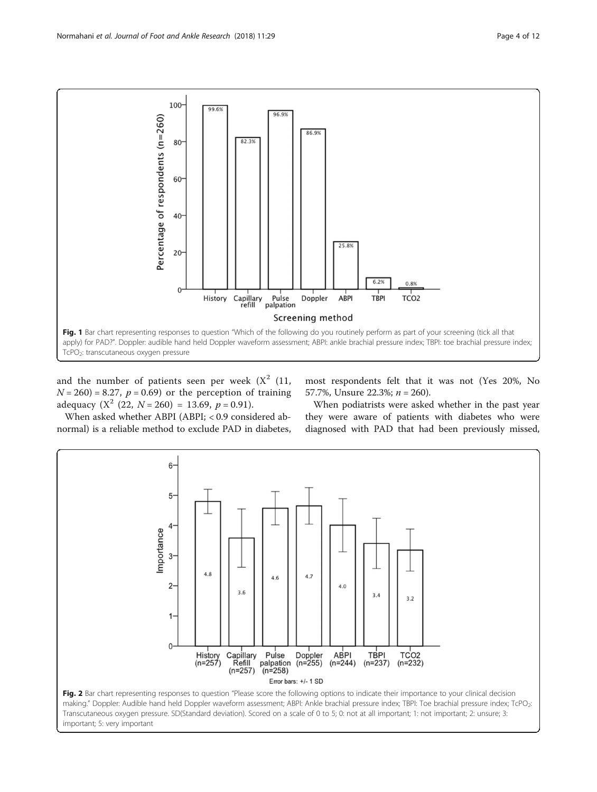<span id="page-3-0"></span>

and the number of patients seen per week  $(X^2 \t(11,$  $N = 260$  = 8.27,  $p = 0.69$  or the perception of training adequacy  $(X^2 (22, N = 260) = 13.69, p = 0.91)$ .

most respondents felt that it was not (Yes 20%, No 57.7%, Unsure 22.3%;  $n = 260$ ).

When asked whether ABPI (ABPI; < 0.9 considered abnormal) is a reliable method to exclude PAD in diabetes,

When podiatrists were asked whether in the past year they were aware of patients with diabetes who were diagnosed with PAD that had been previously missed,

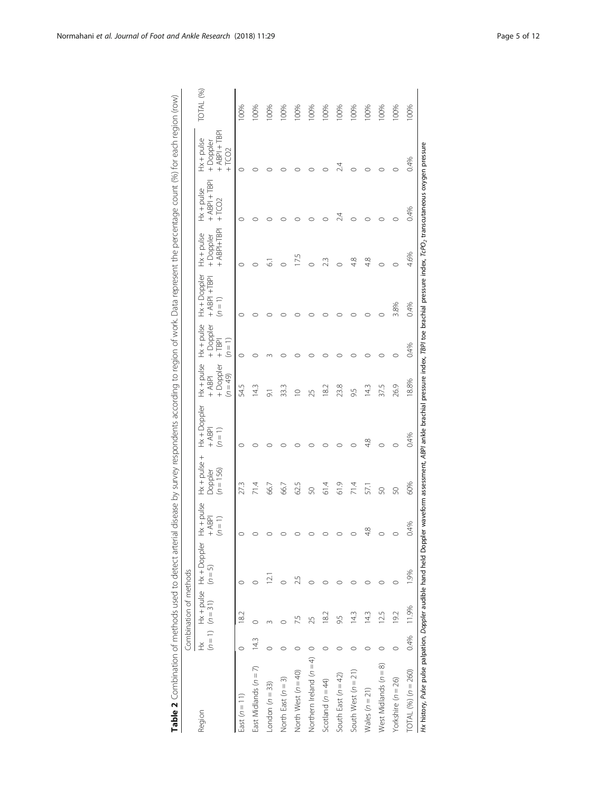|                                                                                                                                                                                                |      | Combination of methods         |                         |                                       |                                           |                                       |                                                       |                                                    |                                                 |                                               |                                            |                                                     |           |
|------------------------------------------------------------------------------------------------------------------------------------------------------------------------------------------------|------|--------------------------------|-------------------------|---------------------------------------|-------------------------------------------|---------------------------------------|-------------------------------------------------------|----------------------------------------------------|-------------------------------------------------|-----------------------------------------------|--------------------------------------------|-----------------------------------------------------|-----------|
| Region                                                                                                                                                                                         | Ě    | $(n = 1)$ $(n = 31)$ $(n = 5)$ | Hx + pulse Hx + Doppler | $Hx + pulse$<br>$+$ ABPI<br>$(n = 1)$ | $Hx + puls$ e +<br>$(n = 156)$<br>Doppler | $Hx + Doppler$<br>$+$ ABPI<br>$(n=1)$ | $Hx + pulse$<br>+ Doppler<br>$(0.6) = 49$<br>$+$ ABPI | $Hx + pulse$<br>+ Doppler<br>$(n = 1)$<br>$+$ TBPI | $Hx + Dopler$<br>$+$ ABPI $+$ TBPI<br>$(n = 1)$ | $+$ ABPI $+$ TBPI<br>$Hx + pulse$<br>+Doppler | $+$ ABPI + TBPI<br>$Hx + pulse$<br>$+TCO2$ | $+$ ABPI + TBP<br>$Hx + pulse$<br>+Doppler<br>+TCO2 | TOTAL (%) |
| East $(n = 11)$                                                                                                                                                                                |      | 182                            |                         | 0                                     |                                           | $\circ$                               | 54.5                                                  | $\circ$                                            | O                                               | $\circ$                                       | $\circ$                                    | $\circ$                                             | 100%      |
| East Midlands (n = 7)                                                                                                                                                                          | 14.3 |                                |                         |                                       |                                           | $\circ$                               | 14.3                                                  |                                                    |                                                 |                                               |                                            | C                                                   | 100%      |
| $\text{.} \text{ondon}$ ( $n = 33$ )                                                                                                                                                           |      |                                | $\sim$                  |                                       | 66.7                                      |                                       | $\overline{\sigma}$                                   |                                                    |                                                 | $\overline{6}$                                |                                            | O                                                   | 100%      |
| North East $(n = 3)$                                                                                                                                                                           |      |                                |                         |                                       | 66.7                                      |                                       | 33.3                                                  |                                                    |                                                 | $\circ$                                       |                                            |                                                     | 100%      |
| North West (n = 40)                                                                                                                                                                            |      | 7.5                            | 25                      |                                       | 62.5                                      |                                       | $\subseteq$                                           |                                                    |                                                 | 17.5                                          | $\circ$                                    |                                                     | 100%      |
| Northern Ireland $(n = 4)$                                                                                                                                                                     |      | 25                             |                         |                                       | S                                         |                                       | 25                                                    |                                                    |                                                 | $\circ$                                       |                                            | $\circ$                                             | 100%      |
| Scotland $(n = 44)$                                                                                                                                                                            |      | 18.2                           |                         |                                       | 614                                       | O                                     | $\approx$                                             | O                                                  |                                                 | 23                                            |                                            | $\circ$                                             | 100%      |
| South East $(n = 42)$                                                                                                                                                                          |      | 9.5                            |                         | $\circ$                               | 61.9                                      | $\circ$                               | 23.8                                                  |                                                    |                                                 | $\circ$                                       | 24                                         | 24                                                  | 100%      |
| South West $(n = 21)$                                                                                                                                                                          |      | 14.3                           |                         | O                                     | 71.4                                      | $\circ$                               | 95                                                    | C                                                  | ⌒                                               | 4.8                                           | ⌒                                          | O                                                   | 100%      |
| Wales $(n = 21)$                                                                                                                                                                               |      | 14.3                           |                         | 4.8                                   | 57.1                                      | 4.8                                   | 143                                                   |                                                    | O                                               | 4.8                                           | $\circ$                                    | $\circ$                                             | 100%      |
| West Midlands (n = 8)                                                                                                                                                                          |      | 12.5                           |                         | $\circ$                               | S                                         | $\circ$                               | 37.5                                                  | C                                                  | 0                                               | $\circ$                                       | $\circ$                                    | $\circ$                                             | 100%      |
| Yorkshire $(n = 26)$                                                                                                                                                                           |      | 19.2                           |                         | $\circ$                               | S                                         | $\circ$                               | 26.9                                                  |                                                    | 3.8%                                            | $\circ$                                       | $\circ$                                    | $\circ$                                             | 100%      |
| $\overline{101}$ AL (%) $(n = 260)$                                                                                                                                                            | 0.4% | 11.9%                          | 1.9%                    | 0.4%                                  | 60%                                       | 0.4%                                  | 18.8%                                                 | 0.4%                                               | 0.4%                                            | 4.6%                                          | 0.4%                                       | 0.4%                                                | 100%      |
| Hx history, Pulse palpation, Doppler audible hand held Doppler waveform assessment, ABPI ankle brachial pressure index, TBPI toe brachial pressure index, TcPO, transcutaneous oxygen pressure |      |                                |                         |                                       |                                           |                                       |                                                       |                                                    |                                                 |                                               |                                            |                                                     |           |

<span id="page-4-0"></span>Table 2 Combination of methods used to detect arterial disease by survey respondents according to region of work. Data represent the percentage count (%) for each region (row) Table 2 Combination of methods used to detect arterial disease by survey respondents according to region of work. Data represent the percentage count (%) for each region (row)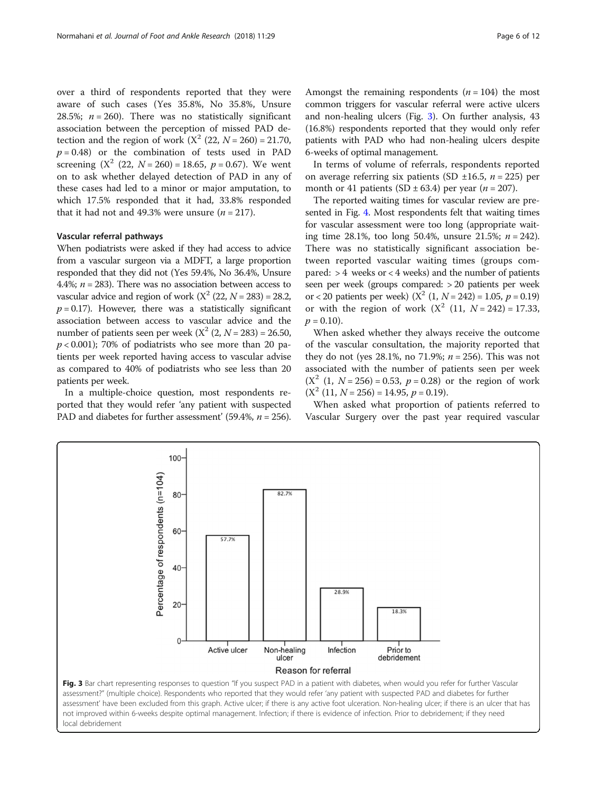over a third of respondents reported that they were aware of such cases (Yes 35.8%, No 35.8%, Unsure 28.5%;  $n = 260$ ). There was no statistically significant association between the perception of missed PAD detection and the region of work  $(X^2 (22, N = 260) = 21.70,$  $p = 0.48$ ) or the combination of tests used in PAD screening  $(X^2 (22, N = 260) = 18.65, p = 0.67)$ . We went on to ask whether delayed detection of PAD in any of these cases had led to a minor or major amputation, to which 17.5% responded that it had, 33.8% responded that it had not and 49.3% were unsure  $(n = 217)$ .

# Vascular referral pathways

When podiatrists were asked if they had access to advice from a vascular surgeon via a MDFT, a large proportion responded that they did not (Yes 59.4%, No 36.4%, Unsure 4.4%;  $n = 283$ ). There was no association between access to vascular advice and region of work  $(X^2 (22, N = 283) = 28.2,$  $p = 0.17$ ). However, there was a statistically significant association between access to vascular advice and the number of patients seen per week  $(X^2 (2, N = 283) = 26.50,$  $p < 0.001$ ); 70% of podiatrists who see more than 20 patients per week reported having access to vascular advise as compared to 40% of podiatrists who see less than 20 patients per week.

In a multiple-choice question, most respondents reported that they would refer 'any patient with suspected PAD and diabetes for further assessment' (59.4%,  $n = 256$ ).

Amongst the remaining respondents  $(n = 104)$  the most common triggers for vascular referral were active ulcers and non-healing ulcers (Fig. 3). On further analysis, 43 (16.8%) respondents reported that they would only refer patients with PAD who had non-healing ulcers despite 6-weeks of optimal management.

In terms of volume of referrals, respondents reported on average referring six patients (SD  $\pm 16.5$ ,  $n = 225$ ) per month or 41 patients (SD  $\pm$  63.4) per year (*n* = 207).

The reported waiting times for vascular review are presented in Fig. [4.](#page-6-0) Most respondents felt that waiting times for vascular assessment were too long (appropriate waiting time 28.1%, too long 50.4%, unsure 21.5%;  $n = 242$ ). There was no statistically significant association between reported vascular waiting times (groups compared:  $> 4$  weeks or  $< 4$  weeks) and the number of patients seen per week (groups compared: > 20 patients per week or < 20 patients per week)  $(X^2 (1, N = 242) = 1.05, p = 0.19)$ or with the region of work  $(X^2 (11, N = 242) = 17.33$ ,  $p = 0.10$ .

When asked whether they always receive the outcome of the vascular consultation, the majority reported that they do not (yes  $28.1\%$ , no  $71.9\%$ ;  $n = 256$ ). This was not associated with the number of patients seen per week  $(X^2 (1, N = 256) = 0.53, p = 0.28)$  or the region of work  $(X<sup>2</sup> (11, N = 256) = 14.95, p = 0.19).$ 

When asked what proportion of patients referred to Vascular Surgery over the past year required vascular



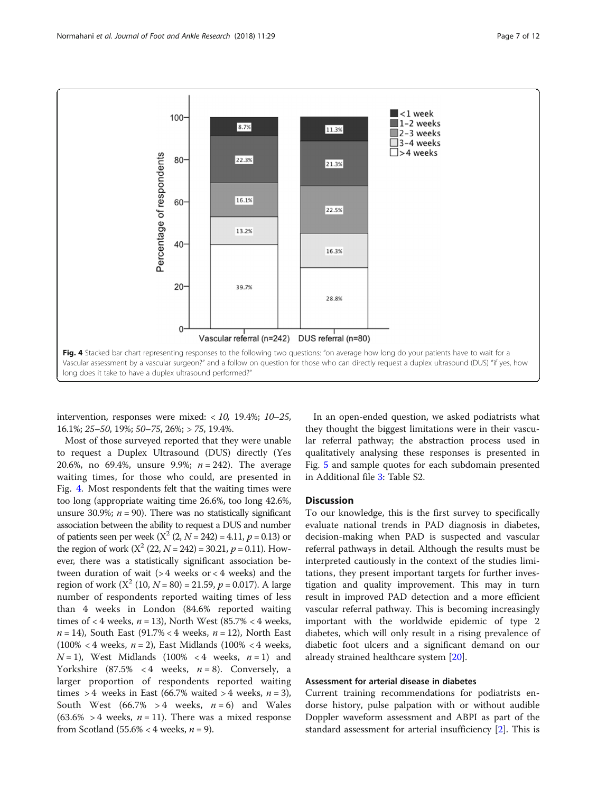<span id="page-6-0"></span>

intervention, responses were mixed:  $< 10$ , 19.4%; 10–25, 16.1%; 25–50, 19%; 50–75, 26%; > 75, 19.4%.

Most of those surveyed reported that they were unable to request a Duplex Ultrasound (DUS) directly (Yes 20.6%, no 69.4%, unsure 9.9%;  $n = 242$ ). The average waiting times, for those who could, are presented in Fig. 4. Most respondents felt that the waiting times were too long (appropriate waiting time 26.6%, too long 42.6%, unsure 30.9%;  $n = 90$ ). There was no statistically significant association between the ability to request a DUS and number of patients seen per week  $(X^2 (2, N = 242) = 4.11, p = 0.13)$  or the region of work  $(X^2 (22, N = 242) = 30.21, p = 0.11)$ . However, there was a statistically significant association between duration of wait (> 4 weeks or < 4 weeks) and the region of work  $(X^2 (10, N = 80) = 21.59, p = 0.017)$ . A large number of respondents reported waiting times of less than 4 weeks in London (84.6% reported waiting times of  $<$  4 weeks,  $n = 13$ ), North West (85.7%  $<$  4 weeks,  $n = 14$ ), South East (91.7% < 4 weeks,  $n = 12$ ), North East (100% < 4 weeks,  $n = 2$ ), East Midlands (100% < 4 weeks,  $N=1$ ), West Midlands (100% < 4 weeks,  $n=1$ ) and Yorkshire (87.5% < 4 weeks,  $n = 8$ ). Conversely, a larger proportion of respondents reported waiting times > 4 weeks in East (66.7% waited > 4 weeks,  $n = 3$ ), South West (66.7% > 4 weeks,  $n = 6$ ) and Wales  $(63.6\% > 4$  weeks,  $n = 11$ ). There was a mixed response from Scotland (55.6% < 4 weeks,  $n = 9$ ).

In an open-ended question, we asked podiatrists what they thought the biggest limitations were in their vascular referral pathway; the abstraction process used in qualitatively analysing these responses is presented in Fig. [5](#page-7-0) and sample quotes for each subdomain presented in Additional file [3:](#page-9-0) Table S2.

## **Discussion**

To our knowledge, this is the first survey to specifically evaluate national trends in PAD diagnosis in diabetes, decision-making when PAD is suspected and vascular referral pathways in detail. Although the results must be interpreted cautiously in the context of the studies limitations, they present important targets for further investigation and quality improvement. This may in turn result in improved PAD detection and a more efficient vascular referral pathway. This is becoming increasingly important with the worldwide epidemic of type 2 diabetes, which will only result in a rising prevalence of diabetic foot ulcers and a significant demand on our already strained healthcare system [\[20\]](#page-10-0).

# Assessment for arterial disease in diabetes

Current training recommendations for podiatrists endorse history, pulse palpation with or without audible Doppler waveform assessment and ABPI as part of the standard assessment for arterial insufficiency [\[2\]](#page-10-0). This is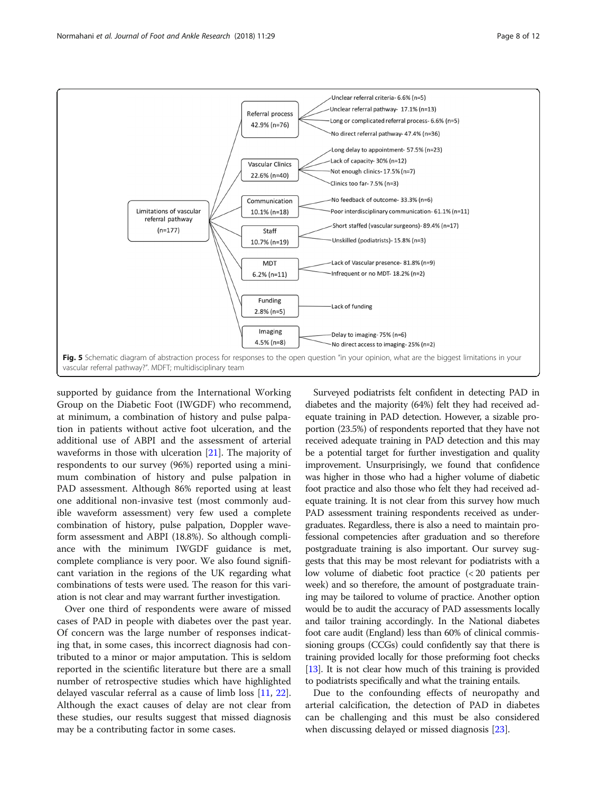<span id="page-7-0"></span>

supported by guidance from the International Working Group on the Diabetic Foot (IWGDF) who recommend, at minimum, a combination of history and pulse palpation in patients without active foot ulceration, and the additional use of ABPI and the assessment of arterial waveforms in those with ulceration [[21\]](#page-10-0). The majority of respondents to our survey (96%) reported using a minimum combination of history and pulse palpation in PAD assessment. Although 86% reported using at least one additional non-invasive test (most commonly audible waveform assessment) very few used a complete combination of history, pulse palpation, Doppler waveform assessment and ABPI (18.8%). So although compliance with the minimum IWGDF guidance is met, complete compliance is very poor. We also found significant variation in the regions of the UK regarding what combinations of tests were used. The reason for this variation is not clear and may warrant further investigation.

Over one third of respondents were aware of missed cases of PAD in people with diabetes over the past year. Of concern was the large number of responses indicating that, in some cases, this incorrect diagnosis had contributed to a minor or major amputation. This is seldom reported in the scientific literature but there are a small number of retrospective studies which have highlighted delayed vascular referral as a cause of limb loss [\[11,](#page-10-0) [22](#page-10-0)]. Although the exact causes of delay are not clear from these studies, our results suggest that missed diagnosis may be a contributing factor in some cases.

Surveyed podiatrists felt confident in detecting PAD in diabetes and the majority (64%) felt they had received adequate training in PAD detection. However, a sizable proportion (23.5%) of respondents reported that they have not received adequate training in PAD detection and this may be a potential target for further investigation and quality improvement. Unsurprisingly, we found that confidence was higher in those who had a higher volume of diabetic foot practice and also those who felt they had received adequate training. It is not clear from this survey how much PAD assessment training respondents received as undergraduates. Regardless, there is also a need to maintain professional competencies after graduation and so therefore postgraduate training is also important. Our survey suggests that this may be most relevant for podiatrists with a low volume of diabetic foot practice (< 20 patients per week) and so therefore, the amount of postgraduate training may be tailored to volume of practice. Another option would be to audit the accuracy of PAD assessments locally and tailor training accordingly. In the National diabetes foot care audit (England) less than 60% of clinical commissioning groups (CCGs) could confidently say that there is training provided locally for those preforming foot checks [[13](#page-10-0)]. It is not clear how much of this training is provided to podiatrists specifically and what the training entails.

Due to the confounding effects of neuropathy and arterial calcification, the detection of PAD in diabetes can be challenging and this must be also considered when discussing delayed or missed diagnosis [[23\]](#page-10-0).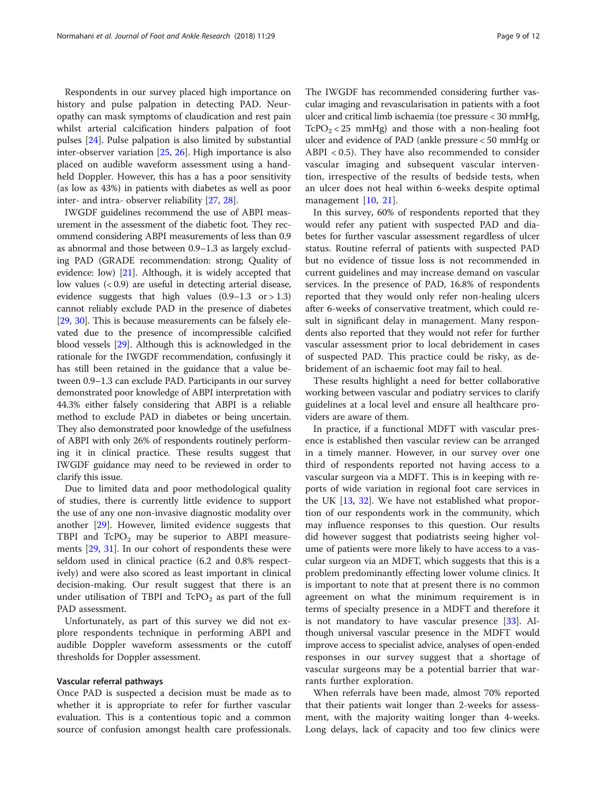Respondents in our survey placed high importance on history and pulse palpation in detecting PAD. Neuropathy can mask symptoms of claudication and rest pain whilst arterial calcification hinders palpation of foot pulses [\[24](#page-10-0)]. Pulse palpation is also limited by substantial inter-observer variation [[25](#page-10-0), [26](#page-10-0)]. High importance is also placed on audible waveform assessment using a handheld Doppler. However, this has a has a poor sensitivity (as low as 43%) in patients with diabetes as well as poor inter- and intra- observer reliability [[27,](#page-10-0) [28\]](#page-10-0).

IWGDF guidelines recommend the use of ABPI measurement in the assessment of the diabetic foot. They recommend considering ABPI measurements of less than 0.9 as abnormal and those between 0.9–1.3 as largely excluding PAD (GRADE recommendation: strong; Quality of evidence: low) [\[21](#page-10-0)]. Although, it is widely accepted that low values (< 0.9) are useful in detecting arterial disease, evidence suggests that high values  $(0.9-1.3 \text{ or } > 1.3)$ cannot reliably exclude PAD in the presence of diabetes [[29](#page-10-0), [30](#page-11-0)]. This is because measurements can be falsely elevated due to the presence of incompressible calcified blood vessels [[29](#page-10-0)]. Although this is acknowledged in the rationale for the IWGDF recommendation, confusingly it has still been retained in the guidance that a value between 0.9–1.3 can exclude PAD. Participants in our survey demonstrated poor knowledge of ABPI interpretation with 44.3% either falsely considering that ABPI is a reliable method to exclude PAD in diabetes or being uncertain. They also demonstrated poor knowledge of the usefulness of ABPI with only 26% of respondents routinely performing it in clinical practice. These results suggest that IWGDF guidance may need to be reviewed in order to clarify this issue.

Due to limited data and poor methodological quality of studies, there is currently little evidence to support the use of any one non-invasive diagnostic modality over another [[29\]](#page-10-0). However, limited evidence suggests that TBPI and  $TePO<sub>2</sub>$  may be superior to ABPI measurements [\[29](#page-10-0), [31\]](#page-11-0). In our cohort of respondents these were seldom used in clinical practice (6.2 and 0.8% respectively) and were also scored as least important in clinical decision-making. Our result suggest that there is an under utilisation of TBPI and  $TePO<sub>2</sub>$  as part of the full PAD assessment.

Unfortunately, as part of this survey we did not explore respondents technique in performing ABPI and audible Doppler waveform assessments or the cutoff thresholds for Doppler assessment.

# Vascular referral pathways

Once PAD is suspected a decision must be made as to whether it is appropriate to refer for further vascular evaluation. This is a contentious topic and a common source of confusion amongst health care professionals.

The IWGDF has recommended considering further vascular imaging and revascularisation in patients with a foot ulcer and critical limb ischaemia (toe pressure < 30 mmHg,  $TcPO<sub>2</sub> < 25$  mmHg) and those with a non-healing foot ulcer and evidence of PAD (ankle pressure < 50 mmHg or ABPI < 0.5). They have also recommended to consider vascular imaging and subsequent vascular intervention, irrespective of the results of bedside tests, when an ulcer does not heal within 6-weeks despite optimal management [\[10](#page-10-0), [21\]](#page-10-0).

In this survey, 60% of respondents reported that they would refer any patient with suspected PAD and diabetes for further vascular assessment regardless of ulcer status. Routine referral of patients with suspected PAD but no evidence of tissue loss is not recommended in current guidelines and may increase demand on vascular services. In the presence of PAD, 16.8% of respondents reported that they would only refer non-healing ulcers after 6-weeks of conservative treatment, which could result in significant delay in management. Many respondents also reported that they would not refer for further vascular assessment prior to local debridement in cases of suspected PAD. This practice could be risky, as debridement of an ischaemic foot may fail to heal.

These results highlight a need for better collaborative working between vascular and podiatry services to clarify guidelines at a local level and ensure all healthcare providers are aware of them.

In practice, if a functional MDFT with vascular presence is established then vascular review can be arranged in a timely manner. However, in our survey over one third of respondents reported not having access to a vascular surgeon via a MDFT. This is in keeping with reports of wide variation in regional foot care services in the UK [\[13](#page-10-0), [32\]](#page-11-0). We have not established what proportion of our respondents work in the community, which may influence responses to this question. Our results did however suggest that podiatrists seeing higher volume of patients were more likely to have access to a vascular surgeon via an MDFT, which suggests that this is a problem predominantly effecting lower volume clinics. It is important to note that at present there is no common agreement on what the minimum requirement is in terms of specialty presence in a MDFT and therefore it is not mandatory to have vascular presence [\[33](#page-11-0)]. Although universal vascular presence in the MDFT would improve access to specialist advice, analyses of open-ended responses in our survey suggest that a shortage of vascular surgeons may be a potential barrier that warrants further exploration.

When referrals have been made, almost 70% reported that their patients wait longer than 2-weeks for assessment, with the majority waiting longer than 4-weeks. Long delays, lack of capacity and too few clinics were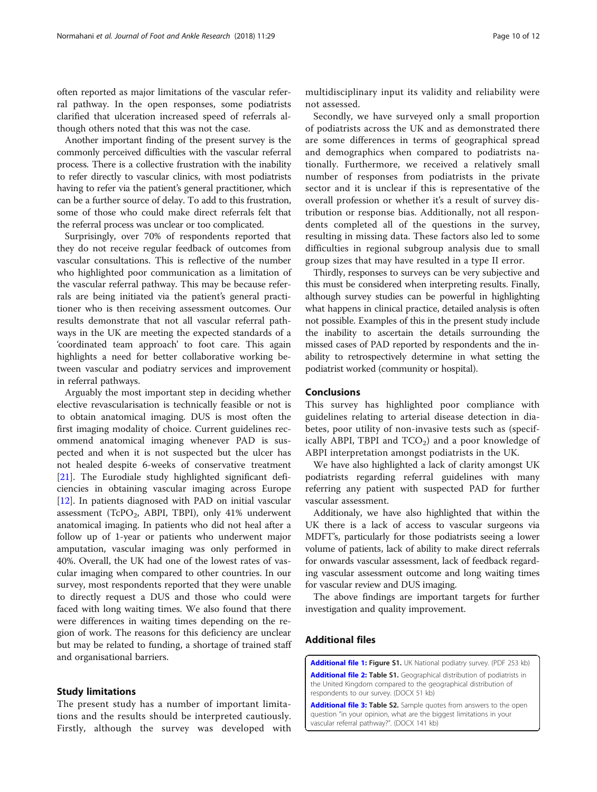<span id="page-9-0"></span>often reported as major limitations of the vascular referral pathway. In the open responses, some podiatrists clarified that ulceration increased speed of referrals although others noted that this was not the case.

Another important finding of the present survey is the commonly perceived difficulties with the vascular referral process. There is a collective frustration with the inability to refer directly to vascular clinics, with most podiatrists having to refer via the patient's general practitioner, which can be a further source of delay. To add to this frustration, some of those who could make direct referrals felt that the referral process was unclear or too complicated.

Surprisingly, over 70% of respondents reported that they do not receive regular feedback of outcomes from vascular consultations. This is reflective of the number who highlighted poor communication as a limitation of the vascular referral pathway. This may be because referrals are being initiated via the patient's general practitioner who is then receiving assessment outcomes. Our results demonstrate that not all vascular referral pathways in the UK are meeting the expected standards of a 'coordinated team approach' to foot care. This again highlights a need for better collaborative working between vascular and podiatry services and improvement in referral pathways.

Arguably the most important step in deciding whether elective revascularisation is technically feasible or not is to obtain anatomical imaging. DUS is most often the first imaging modality of choice. Current guidelines recommend anatomical imaging whenever PAD is suspected and when it is not suspected but the ulcer has not healed despite 6-weeks of conservative treatment [[21\]](#page-10-0). The Eurodiale study highlighted significant deficiencies in obtaining vascular imaging across Europe [[12\]](#page-10-0). In patients diagnosed with PAD on initial vascular assessment (TcPO<sub>2</sub>, ABPI, TBPI), only 41% underwent anatomical imaging. In patients who did not heal after a follow up of 1-year or patients who underwent major amputation, vascular imaging was only performed in 40%. Overall, the UK had one of the lowest rates of vascular imaging when compared to other countries. In our survey, most respondents reported that they were unable to directly request a DUS and those who could were faced with long waiting times. We also found that there were differences in waiting times depending on the region of work. The reasons for this deficiency are unclear but may be related to funding, a shortage of trained staff and organisational barriers.

# Study limitations

The present study has a number of important limitations and the results should be interpreted cautiously. Firstly, although the survey was developed with

multidisciplinary input its validity and reliability were not assessed.

Secondly, we have surveyed only a small proportion of podiatrists across the UK and as demonstrated there are some differences in terms of geographical spread and demographics when compared to podiatrists nationally. Furthermore, we received a relatively small number of responses from podiatrists in the private sector and it is unclear if this is representative of the overall profession or whether it's a result of survey distribution or response bias. Additionally, not all respondents completed all of the questions in the survey, resulting in missing data. These factors also led to some difficulties in regional subgroup analysis due to small group sizes that may have resulted in a type II error.

Thirdly, responses to surveys can be very subjective and this must be considered when interpreting results. Finally, although survey studies can be powerful in highlighting what happens in clinical practice, detailed analysis is often not possible. Examples of this in the present study include the inability to ascertain the details surrounding the missed cases of PAD reported by respondents and the inability to retrospectively determine in what setting the podiatrist worked (community or hospital).

# Conclusions

This survey has highlighted poor compliance with guidelines relating to arterial disease detection in diabetes, poor utility of non-invasive tests such as (specifically ABPI, TBPI and  $TCO<sub>2</sub>$ ) and a poor knowledge of ABPI interpretation amongst podiatrists in the UK.

We have also highlighted a lack of clarity amongst UK podiatrists regarding referral guidelines with many referring any patient with suspected PAD for further vascular assessment.

Additionaly, we have also highlighted that within the UK there is a lack of access to vascular surgeons via MDFT's, particularly for those podiatrists seeing a lower volume of patients, lack of ability to make direct referrals for onwards vascular assessment, lack of feedback regarding vascular assessment outcome and long waiting times for vascular review and DUS imaging.

The above findings are important targets for further investigation and quality improvement.

# Additional files

[Additional file 1:](https://doi.org/10.1186/s13047-018-0270-5) Figure S1. UK National podiatry survey. (PDF 253 kb) [Additional file 2:](https://doi.org/10.1186/s13047-018-0270-5) Table S1. Geographical distribution of podiatrists in the United Kingdom compared to the geographical distribution of respondents to our survey. (DOCX 51 kb)

[Additional file 3:](https://doi.org/10.1186/s13047-018-0270-5) Table S2. Sample quotes from answers to the open question "in your opinion, what are the biggest limitations in your vascular referral pathway?". (DOCX 141 kb)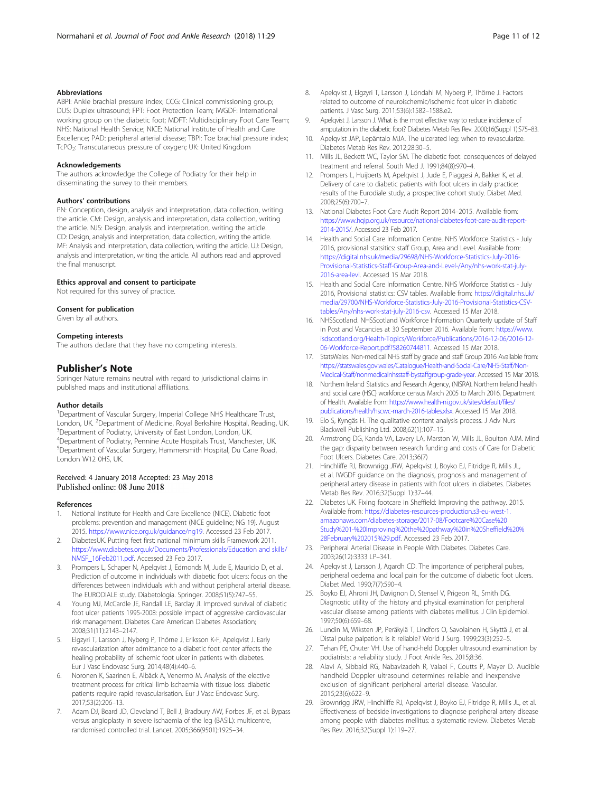#### <span id="page-10-0"></span>Abbreviations

ABPI: Ankle brachial pressure index; CCG: Clinical commissioning group; DUS: Duplex ultrasound; FPT: Foot Protection Team; IWGDF: International working group on the diabetic foot; MDFT: Multidisciplinary Foot Care Team; NHS: National Health Service; NICE: National Institute of Health and Care Excellence; PAD: peripheral arterial disease; TBPI: Toe brachial pressure index; TcPO<sub>2</sub>: Transcutaneous pressure of oxygen; UK: United Kingdom

#### Acknowledgements

The authors acknowledge the College of Podiatry for their help in disseminating the survey to their members.

#### Authors' contributions

PN: Conception, design, analysis and interpretation, data collection, writing the article. CM: Design, analysis and interpretation, data collection, writing the article. NJS: Design, analysis and interpretation, writing the article. CD: Design, analysis and interpretation, data collection, writing the article. MF: Analysis and interpretation, data collection, writing the article. UJ: Design, analysis and interpretation, writing the article. All authors read and approved the final manuscript.

#### Ethics approval and consent to participate

Not required for this survey of practice.

#### Consent for publication

Given by all authors.

#### Competing interests

The authors declare that they have no competing interests.

# Publisher's Note

Springer Nature remains neutral with regard to jurisdictional claims in published maps and institutional affiliations.

#### Author details

<sup>1</sup>Department of Vascular Surgery, Imperial College NHS Healthcare Trust, London, UK. <sup>2</sup>Department of Medicine, Royal Berkshire Hospital, Reading, UK.<br><sup>3</sup>Department of Bediatry University of East London, London, UK. <sup>3</sup>Department of Podiatry, University of East London, London, UK. 4 Department of Podiatry, Pennine Acute Hospitals Trust, Manchester, UK. 5 Department of Vascular Surgery, Hammersmith Hospital, Du Cane Road, London W12 0HS, UK.

# Received: 4 January 2018 Accepted: 23 May 2018<br>Published online: 08 June 2018

#### References

- 1. National Institute for Health and Care Excellence (NICE). Diabetic foot problems: prevention and management (NICE guideline; NG 19). August 2015. <https://www.nice.org.uk/guidance/ng19>. Accessed 23 Feb 2017.
- 2. DiabetesUK. Putting feet first: national minimum skills Framework 2011. [https://www.diabetes.org.uk/Documents/Professionals/Education and skills/](https://www.diabetes.org.uk/Documents/Professionals/Education%20and%20skills/NMSF_16Feb2011.pdf) [NMSF\\_16Feb2011.pdf.](https://www.diabetes.org.uk/Documents/Professionals/Education%20and%20skills/NMSF_16Feb2011.pdf) Accessed 23 Feb 2017.
- Prompers L, Schaper N, Apelqvist J, Edmonds M, Jude E, Mauricio D, et al. Prediction of outcome in individuals with diabetic foot ulcers: focus on the differences between individuals with and without peripheral arterial disease. The EURODIALE study. Diabetologia. Springer. 2008;51(5):747–55.
- 4. Young MJ, McCardle JE, Randall LE, Barclay JI. Improved survival of diabetic foot ulcer patients 1995-2008: possible impact of aggressive cardiovascular risk management. Diabetes Care American Diabetes Association; 2008;31(11):2143–2147.
- 5. Elgzyri T, Larsson J, Nyberg P, Thörne J, Eriksson K-F, Apelqvist J. Early revascularization after admittance to a diabetic foot center affects the healing probability of ischemic foot ulcer in patients with diabetes. Eur J Vasc Endovasc Surg. 2014;48(4):440–6.
- 6. Noronen K, Saarinen E, Albäck A, Venermo M. Analysis of the elective treatment process for critical limb Ischaemia with tissue loss: diabetic patients require rapid revascularisation. Eur J Vasc Endovasc Surg. 2017;53(2):206–13.
- 7. Adam DJ, Beard JD, Cleveland T, Bell J, Bradbury AW, Forbes JF, et al. Bypass versus angioplasty in severe ischaemia of the leg (BASIL): multicentre, randomised controlled trial. Lancet. 2005;366(9501):1925–34.
- 8. Apelqvist J, Elgzyri T, Larsson J, Löndahl M, Nyberg P, Thörne J. Factors related to outcome of neuroischemic/ischemic foot ulcer in diabetic patients. J Vasc Surg. 2011;53(6):1582–1588.e2.
- Apelqvist J, Larsson J. What is the most effective way to reduce incidence of amputation in the diabetic foot? Diabetes Metab Res Rev. 2000;16(Suppl 1):S75–83.
- 10. Apelqvist JAP, Lepäntalo MJA. The ulcerated leg: when to revascularize. Diabetes Metab Res Rev. 2012;28:30–5.
- 11. Mills JL, Beckett WC, Taylor SM. The diabetic foot: consequences of delayed treatment and referral. South Med J. 1991;84(8):970–4.
- 12. Prompers L, Huijberts M, Apelqvist J, Jude E, Piaggesi A, Bakker K, et al. Delivery of care to diabetic patients with foot ulcers in daily practice: results of the Eurodiale study, a prospective cohort study. Diabet Med. 2008;25(6):700–7.
- 13. National Diabetes Foot Care Audit Report 2014–2015. Available from: [https://www.hqip.org.uk/resource/national-diabetes-foot-care-audit-report-](https://www.hqip.org.uk/resource/national-diabetes-foot-care-audit-report-2014-2015/)[2014-2015/.](https://www.hqip.org.uk/resource/national-diabetes-foot-care-audit-report-2014-2015/) Accessed 23 Feb 2017.
- 14. Health and Social Care Information Centre. NHS Workforce Statistics July 2016, provisional statsitics: staff Group, Area and Level. Available from: [https://digital.nhs.uk/media/29698/NHS-Workforce-Statistics-July-2016-](https://digital.nhs.uk/media/29698/NHS-Workforce-Statistics-July-2016-Provisional-Statistics-Staff-Group-Area-and-Level-/Any/nhs-work-stat-july-2016-area-levl) [Provisional-Statistics-Staff-Group-Area-and-Level-/Any/nhs-work-stat-july-](https://digital.nhs.uk/media/29698/NHS-Workforce-Statistics-July-2016-Provisional-Statistics-Staff-Group-Area-and-Level-/Any/nhs-work-stat-july-2016-area-levl)[2016-area-levl.](https://digital.nhs.uk/media/29698/NHS-Workforce-Statistics-July-2016-Provisional-Statistics-Staff-Group-Area-and-Level-/Any/nhs-work-stat-july-2016-area-levl) Accessed 15 Mar 2018.
- 15. Health and Social Care Information Centre. NHS Workforce Statistics July 2016, Provisional statistics: CSV tables. Available from: [https://digital.nhs.uk/](https://digital.nhs.uk/media/29700/NHS-Workforce-Statistics-July-2016-Provisional-Statistics-CSV-tables/Any/nhs-work-stat-july-2016-csv) [media/29700/NHS-Workforce-Statistics-July-2016-Provisional-Statistics-CSV](https://digital.nhs.uk/media/29700/NHS-Workforce-Statistics-July-2016-Provisional-Statistics-CSV-tables/Any/nhs-work-stat-july-2016-csv)[tables/Any/nhs-work-stat-july-2016-csv](https://digital.nhs.uk/media/29700/NHS-Workforce-Statistics-July-2016-Provisional-Statistics-CSV-tables/Any/nhs-work-stat-july-2016-csv). Accessed 15 Mar 2018.
- 16. NHSScotland. NHSScotland Workforce Information Quarterly update of Staff in Post and Vacancies at 30 September 2016. Available from: [https://www.](https://www.isdscotland.org/Health-Topics/Workforce/Publications/2016-12-06/2016-12-06-Workforce-Report.pdf?58260744811) [isdscotland.org/Health-Topics/Workforce/Publications/2016-12-06/2016-12-](https://www.isdscotland.org/Health-Topics/Workforce/Publications/2016-12-06/2016-12-06-Workforce-Report.pdf?58260744811) [06-Workforce-Report.pdf?58260744811](https://www.isdscotland.org/Health-Topics/Workforce/Publications/2016-12-06/2016-12-06-Workforce-Report.pdf?58260744811). Accessed 15 Mar 2018.
- 17. StatsWales. Non-medical NHS staff by grade and staff Group 2016 Available from: [https://statswales.gov.wales/Catalogue/Health-and-Social-Care/NHS-Staff/Non-](https://statswales.gov.wales/Catalogue/Health-and-Social-Care/NHS-Staff/Non-Medical-Staff/nonmedicalnhsstaff-bystaffgroup-grade-year)[Medical-Staff/nonmedicalnhsstaff-bystaffgroup-grade-year.](https://statswales.gov.wales/Catalogue/Health-and-Social-Care/NHS-Staff/Non-Medical-Staff/nonmedicalnhsstaff-bystaffgroup-grade-year) Accessed 15 Mar 2018.
- 18. Northern Ireland Statistics and Research Agency, (NISRA). Northern Ireland health and social care (HSC) workforce census March 2005 to March 2016, Department of Health. Available from: [https://www.health-ni.gov.uk/sites/default/files/](https://www.health-ni.gov.uk/sites/default/files/publications/health/hscwc-march-2016-tables.xlsx) [publications/health/hscwc-march-2016-tables.xlsx](https://www.health-ni.gov.uk/sites/default/files/publications/health/hscwc-march-2016-tables.xlsx). Accessed 15 Mar 2018.
- 19. Elo S, Kyngäs H. The qualitative content analysis process. J Adv Nurs Blackwell Publishing Ltd. 2008;62(1):107–15.
- 20. Armstrong DG, Kanda VA, Lavery LA, Marston W, Mills JL, Boulton AJM. Mind the gap: disparity between research funding and costs of Care for Diabetic Foot Ulcers. Diabetes Care. 2013;36(7)
- 21. Hinchliffe RJ, Brownrigg JRW, Apelqvist J, Boyko EJ, Fitridge R, Mills JL, et al. IWGDF guidance on the diagnosis, prognosis and management of peripheral artery disease in patients with foot ulcers in diabetes. Diabetes Metab Res Rev. 2016;32(Suppl 1):37–44.
- 22. Diabetes UK. Fixing footcare in Sheffield: Improving the pathway. 2015. Available from: [https://diabetes-resources-production.s3-eu-west-1.](https://diabetes-resources-production.s3-eu-west-1.amazonaws.com/diabetes-storage/2017-08/Footcare%20Case%20Study%201-%20Improving%20the%20pathway%20in%20Sheffield%20%28February%202015%29.pdf) [amazonaws.com/diabetes-storage/2017-08/Footcare%20Case%20](https://diabetes-resources-production.s3-eu-west-1.amazonaws.com/diabetes-storage/2017-08/Footcare%20Case%20Study%201-%20Improving%20the%20pathway%20in%20Sheffield%20%28February%202015%29.pdf) [Study%201-%20Improving%20the%20pathway%20in%20Sheffield%20%](https://diabetes-resources-production.s3-eu-west-1.amazonaws.com/diabetes-storage/2017-08/Footcare%20Case%20Study%201-%20Improving%20the%20pathway%20in%20Sheffield%20%28February%202015%29.pdf) [28February%202015%29.pdf.](https://diabetes-resources-production.s3-eu-west-1.amazonaws.com/diabetes-storage/2017-08/Footcare%20Case%20Study%201-%20Improving%20the%20pathway%20in%20Sheffield%20%28February%202015%29.pdf) Accessed 23 Feb 2017.
- 23. Peripheral Arterial Disease in People With Diabetes. Diabetes Care. 2003;26(12):3333 LP–341.
- 24. Apelqvist J, Larsson J, Agardh CD. The importance of peripheral pulses, peripheral oedema and local pain for the outcome of diabetic foot ulcers. Diabet Med. 1990;7(7):590–4.
- 25. Boyko EJ, Ahroni JH, Davignon D, Stensel V, Prigeon RL, Smith DG. Diagnostic utility of the history and physical examination for peripheral vascular disease among patients with diabetes mellitus. J Clin Epidemiol. 1997;50(6):659–68.
- 26. Lundin M, Wiksten JP, Peräkylä T, Lindfors O, Savolainen H, Skyttä J, et al. Distal pulse palpation: is it reliable? World J Surg. 1999;23(3):252–5.
- 27. Tehan PE, Chuter VH. Use of hand-held Doppler ultrasound examination by podiatrists: a reliability study. J Foot Ankle Res. 2015;8:36.
- 28. Alavi A, Sibbald RG, Nabavizadeh R, Valaei F, Coutts P, Mayer D. Audible handheld Doppler ultrasound determines reliable and inexpensive exclusion of significant peripheral arterial disease. Vascular. 2015;23(6):622–9.
- 29. Brownrigg JRW, Hinchliffe RJ, Apelqvist J, Boyko EJ, Fitridge R, Mills JL, et al. Effectiveness of bedside investigations to diagnose peripheral artery disease among people with diabetes mellitus: a systematic review. Diabetes Metab Res Rev. 2016;32(Suppl 1):119–27.